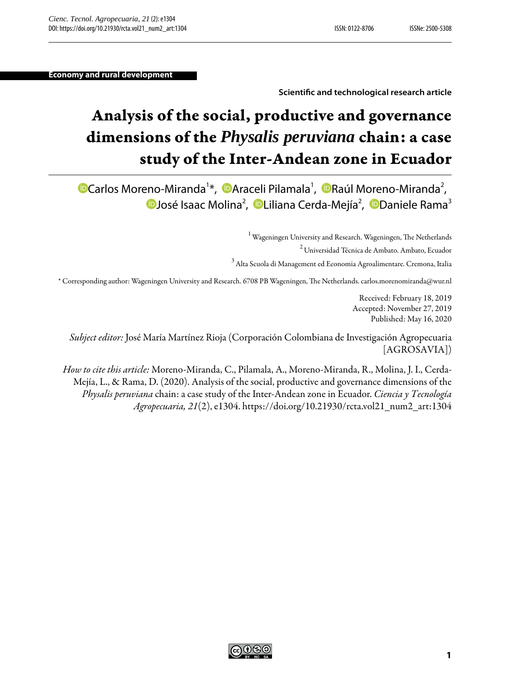**Economy and rural development**

#### **Scientic and technological research article**

# Analysis of the social, productive and governance dimensions of the *Physalis peruviana* chain: a case study of the Inter-Andean zone in Ecuador

[C](https://orcid.org/0000-0002-8378-7325)arlos Moreno-Miranda<sup>[1](#page-0-0)</sup>[\\*](#page-0-1), DAraceli Pilamala<sup>1</sup>, DRaúl Moreno-Miranda<sup>[2](#page-0-2)</sup>, José Isaac Molina<sup>[2](#page-0-2)</sup>, ©Liliana Cerda-Mejía<sup>2</sup>, ©[D](https://orcid.org/0000-0001-9419-7315)aniele Rama<sup>[3](#page-0-3)</sup>

> $1$  Wageningen University and Research. Wageningen, The Netherlands <sup>2</sup>Universidad Técnica de Ambato. Ambato, Ecuador

 $3$  Alta Scuola di Management ed Economia Agroalimentare. Cremona, Italia

<span id="page-0-3"></span><span id="page-0-2"></span><span id="page-0-1"></span><span id="page-0-0"></span>\* Corresponding author: Wageningen University and Research. 6708 PB Wageningen, The Netherlands. carlos.morenomiranda@wur.nl

Received: February 18, 2019 Accepted: November 27, 2019 Published: May 16, 2020

*Subject editor:* José María Martínez Rioja (Corporación Colombiana de Investigación Agropecuaria [AGROSAVIA])

*How to cite this article:* Moreno-Miranda, C., Pilamala, A., Moreno-Miranda, R., Molina, J. I., Cerda-Mejía, L., & Rama, D. (2020). Analysis of the social, productive and governance dimensions of the *Physalis peruviana* chain: a case study of the Inter-Andean zone in Ecuador. *Ciencia y Tecnología Agropecuaria, 21*(2), e1304. https://doi.org/10.21930/rcta.vol21\_num2\_art:1304

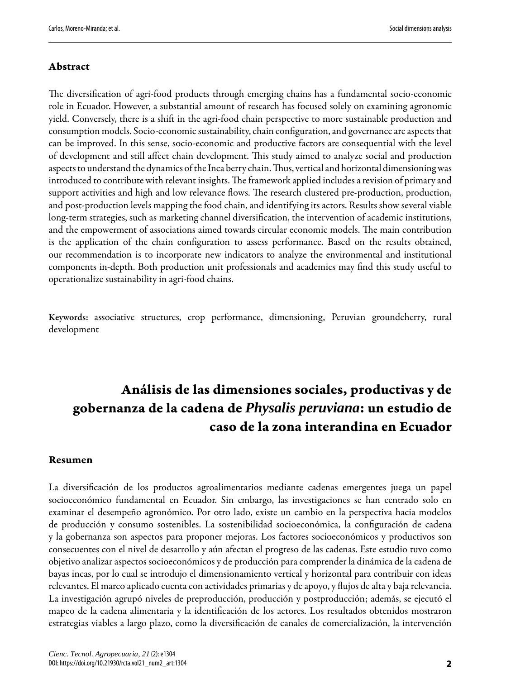#### Abstract

The diversification of agri-food products through emerging chains has a fundamental socio-economic role in Ecuador. However, a substantial amount of research has focused solely on examining agronomic yield. Conversely, there is a shift in the agri-food chain perspective to more sustainable production and consumption models. Socio-economic sustainability, chain configuration, and governance are aspects that can be improved. In this sense, socio-economic and productive factors are consequential with the level of development and still affect chain development. is study aimed to analyze social and production aspects to understand the dynamics of the Inca berry chain. Thus, vertical and horizontal dimensioning was introduced to contribute with relevant insights. The framework applied includes a revision of primary and support activities and high and low relevance flows. The research clustered pre-production, production, and post-production levels mapping the food chain, and identifying its actors. Results show several viable long-term strategies, such as marketing channel diversification, the intervention of academic institutions, and the empowerment of associations aimed towards circular economic models. The main contribution is the application of the chain configuration to assess performance. Based on the results obtained, our recommendation is to incorporate new indicators to analyze the environmental and institutional components in-depth. Both production unit professionals and academics may find this study useful to operationalize sustainability in agri-food chains.

Keywords: associative structures, crop performance, dimensioning, Peruvian groundcherry, rural development

## Análisis de las dimensiones sociales, productivas y de gobernanza de la cadena de *Physalis peruviana*: un estudio de caso de la zona interandina en Ecuador

#### Resumen

La diversificación de los productos agroalimentarios mediante cadenas emergentes juega un papel socioeconómico fundamental en Ecuador. Sin embargo, las investigaciones se han centrado solo en examinar el desempeño agronómico. Por otro lado, existe un cambio en la perspectiva hacia modelos de producción y consumo sostenibles. La sostenibilidad socioeconómica, la configuración de cadena y la gobernanza son aspectos para proponer mejoras. Los factores socioeconómicos y productivos son consecuentes con el nivel de desarrollo y aún afectan el progreso de las cadenas. Este estudio tuvo como objetivo analizaraspectos socioeconómicos y de producción paracomprender la dinámica delacadena de bayas incas, por lo cual se introdujo el dimensionamiento vertical y horizontal para contribuir con ideas relevantes. El marco aplicado cuenta con actividades primarias y de apoyo, y flujos de alta y baja relevancia. La investigación agrupó niveles de preproducción, producción y postproducción; además, se ejecutó el mapeo de la cadena alimentaria y la identificación de los actores. Los resultados obtenidos mostraron estrategias viables a largo plazo, como la diversificación de canales de comercialización, la intervención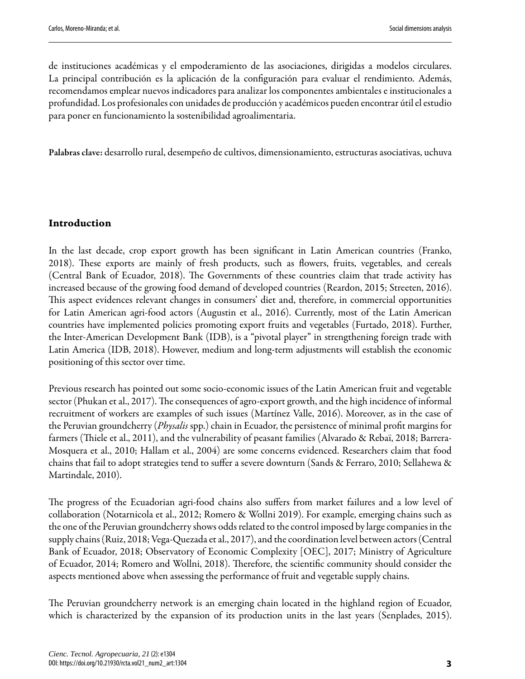de instituciones académicas y el empoderamiento de las asociaciones, dirigidas a modelos circulares. La principal contribución es la aplicación de la configuración para evaluar el rendimiento. Además, recomendamos emplear nuevos indicadores para analizar los componentes ambientales e institucionales a profundidad. Los profesionales con unidades de producción y académicos pueden encontrar útil el estudio para poner en funcionamiento la sostenibilidad agroalimentaria.

Palabras clave: desarrollo rural, desempeño de cultivos, dimensionamiento, estructuras asociativas, uchuva

#### Introduction

In the last decade, crop export growth has been significant in Latin American countries [\(Franko,](#page-16-0) [2018](#page-16-0)). These exports are mainly of fresh products, such as flowers, fruits, vegetables, and cereals ([Central Bank of Ecuador, 2018\)](#page-15-4). The Governments of these countries claim that trade activity has increased because of the growing food demand of developed countries ([Reardon, 2015;](#page-17-0) [Streeten, 2016](#page-18-0)). This aspect evidences relevant changes in consumers' diet and, therefore, in commercial opportunities for Latin American agri-food actors [\(Augustin et al., 2016](#page-15-0)). Currently, most of the Latin American countries have implemented policies promoting export fruits and vegetables ([Furtado, 2018](#page-16-1)). Further, the Inter-American Development Bank (IDB), is a "pivotal player" in strengthening foreign trade with Latin America ([IDB, 2018](#page-15-1)). However, medium and long-term adjustments will establish the economic positioning of this sector over time.

Previous research has pointed out some socio-economic issues of the Latin American fruit and vegetable sector ([Phukan et al., 2017](#page-17-1)). The consequences of agro-export growth, and the high incidence of informal recruitment of workers are examples of such issues ([Martínez Valle, 2016](#page-16-2)). Moreover, as in the case of the Peruvian groundcherry (*Physalis* spp.) chain in Ecuador, the persistence of minimal profit margins for farmers (Thiele et al., 2011), and the vulnerability of peasant families ([Alvarado & Rebaï, 2018;](#page-15-2) [Barrera-](#page-16-3)[Mosquera et al., 2010](#page-16-3); [Hallam et al., 2004\)](#page-16-4) are some concerns evidenced. Researchers claim that food chains that fail to adopt strategies tend to suffer a severe downturn ([Sands & Ferraro, 2010;](#page-17-2) [Sellahewa &](#page-17-3) [Martindale, 2010\)](#page-17-3).

The progress of the Ecuadorian agri-food chains also suffers from market failures and a low level of collaboration [\(Notarnicola et al., 2012](#page-17-4); [Romero & Wollni 2019\)](#page-17-5). For example, emerging chains such as the one of the Peruvian groundcherry shows odds related to the control imposed by large companies in the supply chains ([Ruiz, 2018;](#page-17-6) [Vega-Quezada et al., 2017](#page-18-2)), and the coordination level between actors [\(Central](#page-15-3) [Bank of Ecuador, 2018](#page-15-3); [Observatory of Economic Complexity \[OEC\], 2017](#page-17-7); [Ministry of Agriculture](#page-16-5) [of Ecuador, 2014](#page-16-5); [Romero and Wollni, 2018\)](#page-17-8). Therefore, the scientific community should consider the aspects mentioned above when assessing the performance of fruit and vegetable supply chains.

The Peruvian groundcherry network is an emerging chain located in the highland region of Ecuador, which is characterized by the expansion of its production units in the last years [\(Senplades, 2015](#page-17-9)).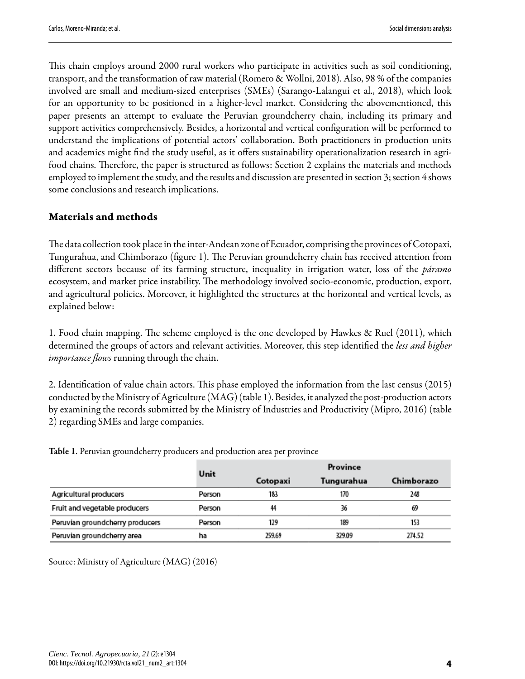This chain employs around 2000 rural workers who participate in activities such as soil conditioning, transport, and the transformation of raw material [\(Romero](#page-17-8) & Wollni, 2018). Also, 98 % of the companies involved are small and medium-sized enterprises (SMEs) ([Sarango-Lalangui](#page-17-10) et al., 2018), which look for an opportunity to be positioned in a higher-level market. Considering the abovementioned, this paper presents an attempt to evaluate the Peruvian groundcherry chain, including its primary and support activities comprehensively. Besides, a horizontal and vertical configuration will be performed to understand the implications of potential actors' collaboration. Both practitioners in production units and academics might find the study useful, as it offers sustainability operationalization research in agrifood chains. Therefore, the paper is structured as follows: Section 2 explains the materials and methods employed to implement the study, and the results and discussion are presented in section 3; section 4 shows some conclusions and research implications.

#### Materials and methods

The data collection took place in the inter-Andean zone of Ecuador, comprising the provinces of Cotopaxi, Tungurahua, and Chimborazo (figure 1). The Peruvian groundcherry chain has received attention from different sectors because of its farming structure, inequality in irrigation water, loss of the *páramo* ecosystem, and market price instability. The methodology involved socio-economic, production, export, and agricultural policies. Moreover, it highlighted the structures at the horizontal and vertical levels, as explained below:

1. Food chain mapping. The scheme employed is the one developed by [Hawkes](#page-16-6) & Ruel (2011), which determined the groups of actors and relevant activities. Moreover, this step identified the *less and higher importance flows* running through the chain.

2. Identification of value chain actors. This phase employed the information from the last census (2015) conducted by the Ministry of Agriculture (MAG) [\(table](#page-3-0) 1). Besides, it analyzed the post-production actors by examining the records submitted by the Ministry of Industries and Productivity ([Mipro,](#page-17-11) 2016) ([table](#page-4-0) [2\)](#page-4-0) regarding SMEs and large companies.

|                                 | Unit   | Province |            |            |
|---------------------------------|--------|----------|------------|------------|
|                                 |        | Cotopaxi | Tungurahua | Chimborazo |
| Agricultural producers          | Person | 183      | 170        | 248        |
| Fruit and vegetable producers   | Person | 44       | 36         | 69         |
| Peruvian groundcherry producers | Person | 129      | 189        | 153        |
| Peruvian groundcherry area      | ha     | 259.69   | 329.09     | 274.52     |

<span id="page-3-0"></span>Table 1. Peruvian groundcherry producers and production area per province

Source: Ministry of [Agriculture](#page-16-7) (MAG) (2016)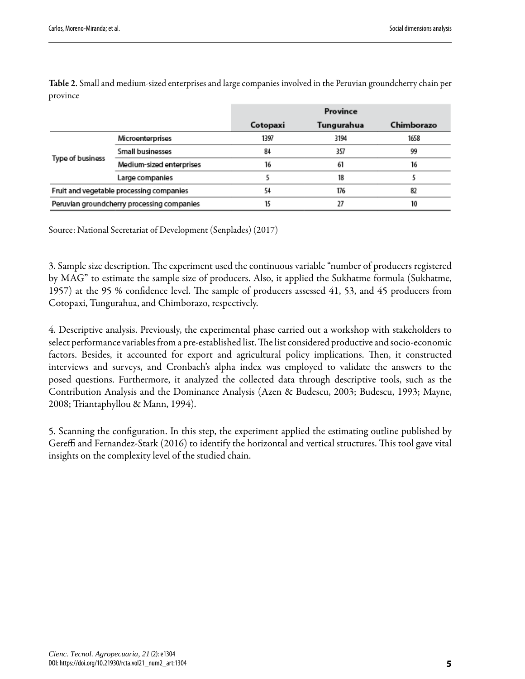|                  |                                            |          | Province   |            |  |
|------------------|--------------------------------------------|----------|------------|------------|--|
|                  |                                            | Cotopaxi | Tungurahua | Chimborazo |  |
| Type of business | Microenterprises                           | 1397     | 3194       | 1658       |  |
|                  | Small businesses                           | 84       | 357        | 99         |  |
|                  | Medium-sized enterprises                   | 16       | 61         | 16         |  |
|                  | Large companies                            |          | 18         |            |  |
|                  | Fruit and vegetable processing companies   | 54       | 176        | 82         |  |
|                  | Peruvian groundcherry processing companies | 15       | 27         | 10         |  |

<span id="page-4-0"></span>Table 2. Small and medium-sized enterprises and large companies involved in the Peruvian groundcherry chain per province

Source: National Secretariat of [Development](#page-17-12) (Senplades) (2017)

3. Sample size description. The experiment used the continuous variable "number of producers registered by MAG" to estimate the sample size of producers. Also, it applied the Sukhatme formula [\(Sukhatme,](#page-18-3) [1957](#page-18-3)) at the 95 % confidence level. The sample of producers assessed 41, 53, and 45 producers from Cotopaxi, Tungurahua, and Chimborazo, respectively.

4. Descriptive analysis. Previously, the experimental phase carried out a workshop with stakeholders to select performance variables from a pre-established list. The list considered productive and socio-economic factors. Besides, it accounted for export and agricultural policy implications. Then, it constructed interviews and surveys, and Cronbach's alpha index was employed to validate the answers to the posed questions. Furthermore, it analyzed the collected data through descriptive tools, such as the Contribution Analysis and the Dominance Analysis (Azen & [Budescu,](#page-15-5) 2003; Budescu, 1993; [Mayne,](#page-16-8) [2008](#page-16-8); [Triantaphyllou](#page-18-4) & Mann, 1994).

5. Scanning the configuration. In this step, the experiment applied the estimating outline published by Gereffi and Fernandez-Stark (2016) to identify the horizontal and vertical structures. This tool gave vital insights on the complexity level of the studied chain.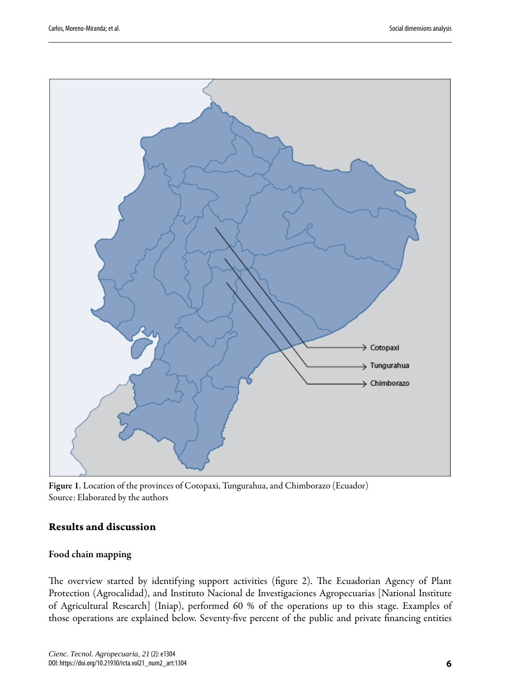<span id="page-5-0"></span>

Figure 1. Location of the provinces of Cotopaxi, Tungurahua, and Chimborazo (Ecuador) Source: Elaborated by the authors

#### Results and discussion

#### Food chain mapping

The overview started by identifying support activities (figure 2). The Ecuadorian Agency of Plant Protection (Agrocalidad), and Instituto Nacional de Investigaciones Agropecuarias [National Institute of Agricultural Research] (Iniap), performed 60 % of the operations up to this stage. Examples of those operations are explained below. Seventy-five percent of the public and private financing entities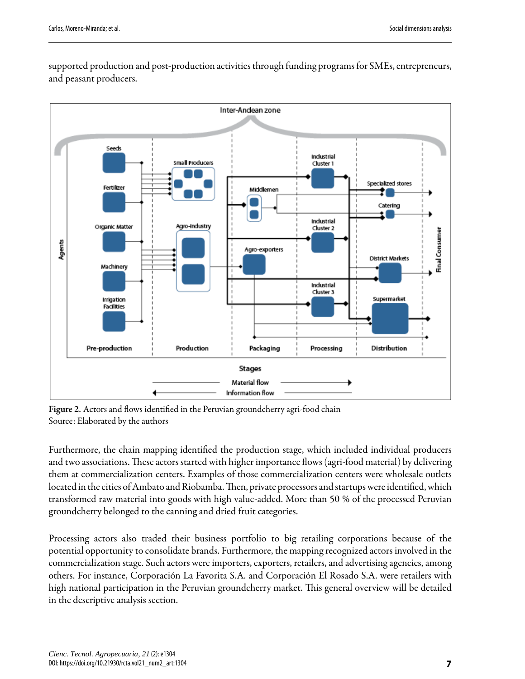<span id="page-6-0"></span>

supported production and post-production activities through funding programs for SMEs, entrepreneurs, and peasant producers.

Figure 2. Actors and flows identified in the Peruvian groundcherry agri-food chain Source: Elaborated by the authors

Furthermore, the chain mapping identified the production stage, which included individual producers and two associations. These actors started with higher importance flows (agri-food material) by delivering them at commercialization centers. Examples of those commercialization centers were wholesale outlets located in the cities of Ambato and Riobamba. Then, private processors and startups were identified, which transformed raw material into goods with high value-added. More than 50 % of the processed Peruvian groundcherry belonged to the canning and dried fruit categories.

Processing actors also traded their business portfolio to big retailing corporations because of the potential opportunity to consolidate brands. Furthermore, the mapping recognized actors involved in the commercialization stage. Such actors were importers, exporters, retailers, and advertising agencies, among others. For instance, Corporación La Favorita S.A. and Corporación El Rosado S.A. were retailers with high national participation in the Peruvian groundcherry market. This general overview will be detailed in the descriptive analysis section.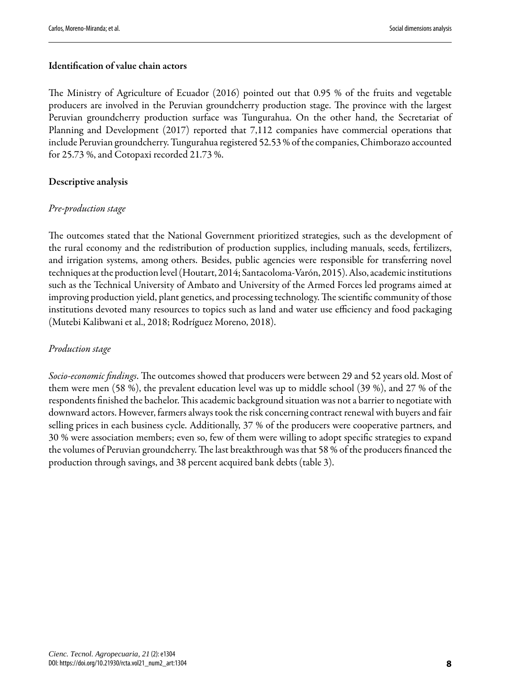#### Identification of value chain actors

The Ministry of [Agriculture](#page-16-7) of Ecuador (2016) pointed out that 0.95 % of the fruits and vegetable producers are involved in the Peruvian groundcherry production stage. The province with the largest Peruvian groundcherry production surface was Tungurahua. On the other hand, the Secretariat of Planning and Development (2017) reported that 7,112 companies have commercial operations that include Peruvian groundcherry. Tungurahua registered 52.53 % of the companies, Chimborazo accounted for 25.73 %, and Cotopaxi recorded 21.73 %.

#### Descriptive analysis

#### *Pre-production stage*

The outcomes stated that the National Government prioritized strategies, such as the development of the rural economy and the redistribution of production supplies, including manuals, seeds, fertilizers, and irrigation systems, among others. Besides, public agencies were responsible for transferring novel techniques at the production level ([Houtart,](#page-16-9) 2014; [Santacoloma-Varón,](#page-17-13) 2015). Also, academic institutions such as the Technical University of Ambato and University of the Armed Forces led programs aimed at improving production yield, plant genetics, and processing technology. The scientific community of those institutions devoted many resources to topics such as land and water use efficiency and food packaging (Mutebi [Kalibwani](#page-17-14) et al., 2018; [Rodríguez](#page-17-15) Moreno, 2018).

#### *Production stage*

*Socio-economic findings*. The outcomes showed that producers were between 29 and 52 years old. Most of them were men (58 %), the prevalent education level was up to middle school (39 %), and 27 % of the respondents finished the bachelor. This academic background situation was not a barrier to negotiate with downward actors. However, farmers always took the risk concerning contract renewal with buyers and fair selling prices in each business cycle. Additionally, 37 % of the producers were cooperative partners, and 30 % were association members; even so, few of them were willing to adopt specific strategies to expand the volumes of Peruvian groundcherry. The last breakthrough was that 58 % of the producers financed the production through savings, and 38 percent acquired bank debts [\(table](#page-8-0) 3).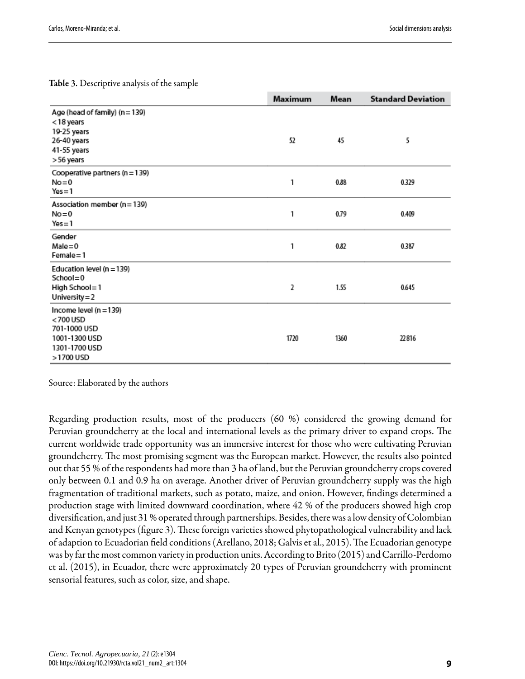<span id="page-8-0"></span>Table 3. Descriptive analysis of the sample

|                                                                                                         | Maximum | Mean | <b>Standard Deviation</b> |
|---------------------------------------------------------------------------------------------------------|---------|------|---------------------------|
| Age (head of family) (n = 139)<br>< 18 years<br>19-25 years<br>26-40 years<br>41-55 years<br>> 56 years | 52      | 45   | 5                         |
| Cooperative partners (n = 139)<br>$No = 0$<br>$Yes = 1$                                                 | 1       | 0.88 | 0.329                     |
| Association member (n = 139)<br>$No = 0$<br>$Yes = 1$                                                   | 1       | 0.79 | 0.409                     |
| Gender<br>$Male = 0$<br>$Female = 1$                                                                    | 1       | 0.82 | 0.387                     |
| Education level (n = 139)<br>$School = 0$<br>High School=1<br>University = 2                            | 2       | 1.55 | 0.645                     |
| Income level (n = 139)<br><700 USD<br>701-1000 USD<br>1001-1300 USD<br>1301-1700 USD<br>>1700 USD       | 1720    | 1360 | 22816                     |

Source: Elaborated by the authors

Regarding production results, most of the producers (60 %) considered the growing demand for Peruvian groundcherry at the local and international levels as the primary driver to expand crops. The current worldwide trade opportunity was an immersive interest for those who were cultivating Peruvian groundcherry. The most promising segment was the European market. However, the results also pointed out that 55 % of the respondents had more than 3 ha of land, but the Peruvian groundcherry crops covered only between 0.1 and 0.9 ha on average. Another driver of Peruvian groundcherry supply was the high fragmentation of traditional markets, such as potato, maize, and onion. However, findings determined a production stage with limited downward coordination, where 42 % of the producers showed high crop diversification, and just 31 % operated through partnerships. Besides, there was a low density of Colombian and Kenyan genotypes (figure 3). These foreign varieties showed phytopathological vulnerability and lack of adaption to Ecuadorian field conditions [\(Arellano,](#page-15-6) 2018; Galvis et al., 2015). The Ecuadorian genotype was by far the most common variety in production units. According to Brito [\(2015\)](#page-16-11) and [Carrillo-Perdomo](#page-16-12) et al. [\(2015\)](#page-16-12), in Ecuador, there were approximately 20 types of Peruvian groundcherry with prominent sensorial features, such as color, size, and shape.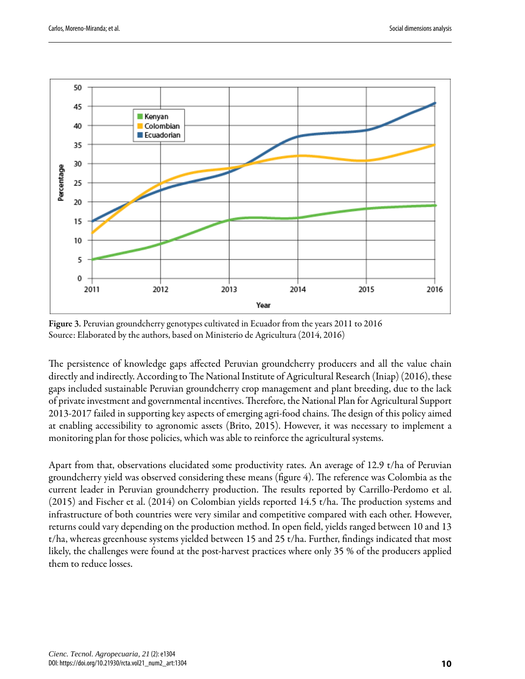<span id="page-9-0"></span>

Figure 3. Peruvian groundcherry genotypes cultivated in Ecuador from the years 2011 to 2016 Source: Elaborated by the authors, based on Ministerio de Agricultura [\(2014,](#page-16-5) [2016\)](#page-16-7)

The persistence of knowledge gaps affected Peruvian groundcherry producers and all the value chain directly and indirectly. According to The National Institute of [Agricultural](#page-16-13) Research (Iniap) (2016), these gaps included sustainable Peruvian groundcherry crop management and plant breeding, due to the lack of private investment and governmental incentives. Therefore, the National Plan for Agricultural Support 2013-2017 failed in supporting key aspects of emerging agri-food chains. The design of this policy aimed at enabling accessibility to agronomic assets ([Brito,](#page-16-11) 2015). However, it was necessary to implement a monitoring plan for those policies, which was able to reinforce the agricultural systems.

Apart from that, observations elucidated some productivity rates. An average of 12.9 t/ha of Peruvian groundcherry yield was observed considering these means (fi[gure](#page-10-0) 4). The reference was Colombia as the current leader in Peruvian groundcherry production. The results reported by [Carrillo-Perdomo](#page-16-12) et al.  $(2015)$  and [Fischer](#page-16-14) et al.  $(2014)$  on Colombian yields reported 14.5 t/ha. The production systems and infrastructure of both countries were very similar and competitive compared with each other. However, returns could vary depending on the production method. In open field, yields ranged between 10 and 13 t/ha, whereas greenhouse systems yielded between 15 and 25 t/ha. Further, findings indicated that most likely, the challenges were found at the post-harvest practices where only 35 % of the producers applied them to reduce losses.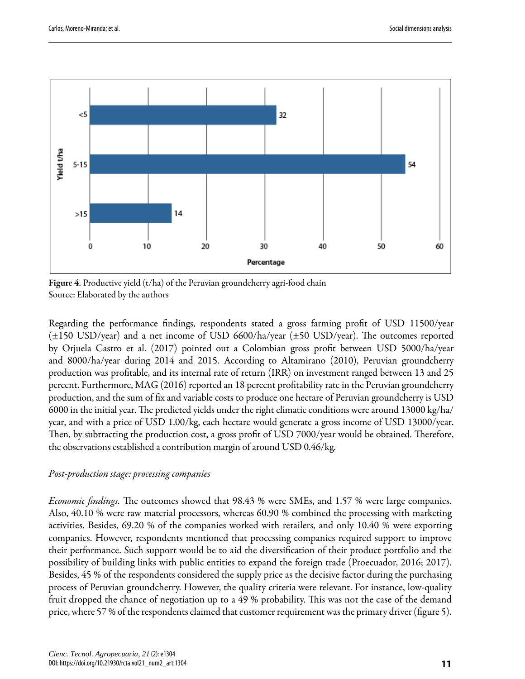<span id="page-10-0"></span>

Figure 4. Productive yield (t/ha) of the Peruvian groundcherry agri-food chain Source: Elaborated by the authors

Regarding the performance findings, respondents stated a gross farming profit of USD 11500/year  $(\pm 150 \text{ USD/year})$  and a net income of USD 6600/ha/year ( $\pm 50 \text{ USD/year}$ ). The outcomes reported by [Orjuela](#page-17-16) Castro et al. (2017) pointed out a Colombian gross profit between USD 5000/ha/year and 8000/ha/year during 2014 and 2015. According to [Altamirano](#page-15-7) (2010), Peruvian groundcherry production was profitable, and its internal rate of return (IRR) on investment ranged between 13 and 25 percent. Furthermore, MAG (2016) reported an 18 percent profitability rate in the Peruvian groundcherry production, and the sum of fix and variable costs to produce one hectare of Peruvian groundcherry is USD 6000 in the initial year. The predicted yields under the right climatic conditions were around 13000 kg/ha/ year, and with a price of USD 1.00/kg, each hectare would generate a gross income of USD 13000/year. Then, by subtracting the production cost, a gross profit of USD 7000/year would be obtained. Therefore, the observations established a contribution margin of around USD 0.46/kg.

#### *Post-production stage: processing companies*

*Economic findings*. The outcomes showed that 98.43 % were SMEs, and 1.57 % were large companies. Also, 40.10 % were raw material processors, whereas 60.90 % combined the processing with marketing activities. Besides, 69.20 % of the companies worked with retailers, and only 10.40 % were exporting companies. However, respondents mentioned that processing companies required support to improve their performance. Such support would be to aid the diversification of their product portfolio and the possibility of building links with public entities to expand the foreign trade [\(Proecuador, 2016;](#page-17-17) [2017](#page-17-18)). Besides, 45 % of the respondents considered the supply price as the decisive factor during the purchasing process of Peruvian groundcherry. However, the quality criteria were relevant. For instance, low-quality fruit dropped the chance of negotiation up to a 49 % probability. This was not the case of the demand price, where 57 % of the respondents claimed that customer requirement was the primary driver (fi[gure 5](#page-11-0)).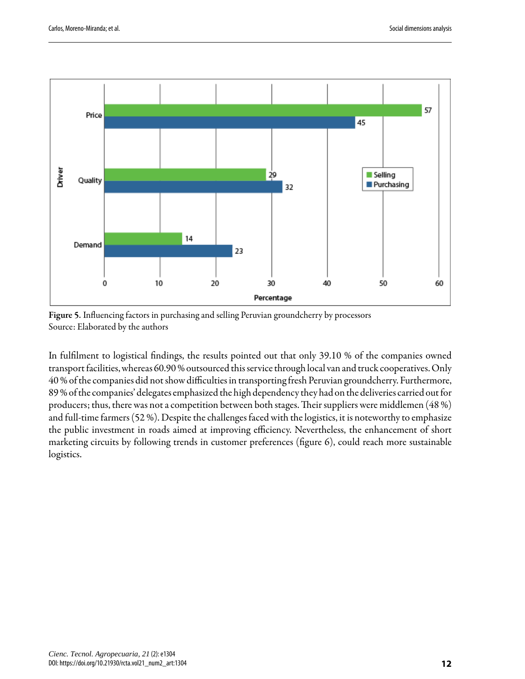<span id="page-11-0"></span>

Figure 5. Influencing factors in purchasing and selling Peruvian groundcherry by processors Source: Elaborated by the authors

In fulfilment to logistical findings, the results pointed out that only 39.10 % of the companies owned transport facilities, whereas 60.90% outsourced this service through local van and truck cooperatives. Only 40 % of the companies did not show difficulties in transporting fresh Peruvian groundcherry. Furthermore, 89 % of the companies' delegates emphasized the high dependency they had on the deliveries carried out for producers; thus, there was not a competition between both stages. Their suppliers were middlemen (48 %) and full-time farmers (52 %). Despite the challenges faced with the logistics, it is noteworthy to emphasize the public investment in roads aimed at improving efficiency. Nevertheless, the enhancement of short marketing circuits by following trends in customer preferences (figure 6), could reach more sustainable logistics.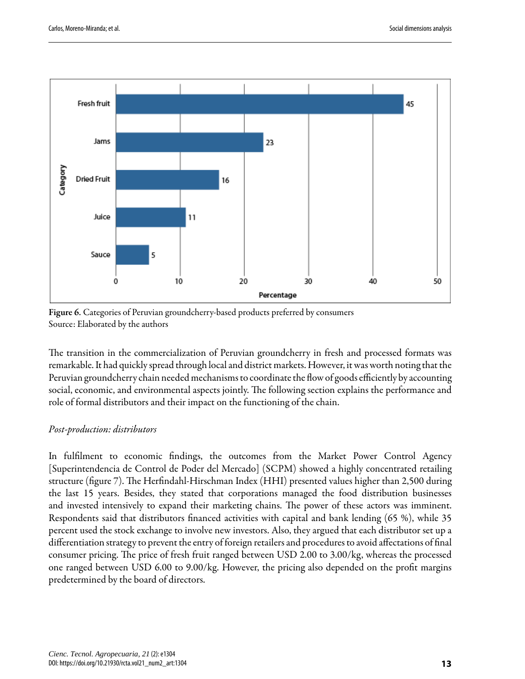<span id="page-12-0"></span>

Figure 6. Categories of Peruvian groundcherry-based products preferred by consumers Source: Elaborated by the authors

The transition in the commercialization of Peruvian groundcherry in fresh and processed formats was remarkable. It had quickly spread through local and district markets. However, it was worth noting that the Peruvian groundcherry chain needed mechanisms to coordinate the flow of goods efficiently by accounting social, economic, and environmental aspects jointly. The following section explains the performance and role of formal distributors and their impact on the functioning of the chain.

#### *Post-production: distributors*

In fulfilment to economic findings, the outcomes from the Market Power Control Agency [Superintendencia de Control de Poder del Mercado] (SCPM) showed a highly concentrated retailing structure (fi[gure](#page-13-0) 7). The Herfindahl-Hirschman Index (HHI) presented values higher than 2,500 during the last 15 years. Besides, they stated that corporations managed the food distribution businesses and invested intensively to expand their marketing chains. The power of these actors was imminent. Respondents said that distributors financed activities with capital and bank lending (65 %), while 35 percent used the stock exchange to involve new investors. Also, they argued that each distributor set up a differentiation strategy to prevent the entry of foreign retailers and procedures to avoid affectations of final consumer pricing. The price of fresh fruit ranged between USD 2.00 to 3.00/kg, whereas the processed one ranged between USD 6.00 to 9.00/kg. However, the pricing also depended on the profit margins predetermined by the board of directors.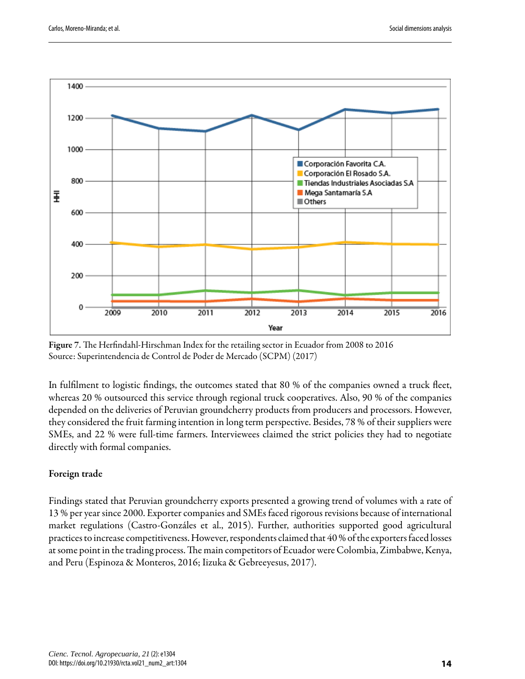<span id="page-13-0"></span>

Figure 7. The Herfindahl-Hirschman Index for the retailing sector in Ecuador from 2008 to 2016 Source: [Superintendencia](#page-18-5) de Control de Poder de Mercado (SCPM) (2017)

In fulfilment to logistic findings, the outcomes stated that  $80\%$  of the companies owned a truck fleet, whereas 20 % outsourced this service through regional truck cooperatives. Also, 90 % of the companies depended on the deliveries of Peruvian groundcherry products from producers and processors. However, they considered the fruit farming intention in long term perspective. Besides, 78 % of their suppliers were SMEs, and 22 % were full-time farmers. Interviewees claimed the strict policies they had to negotiate directly with formal companies.

### Foreign trade

Findings stated that Peruvian groundcherry exports presented a growing trend of volumes with a rate of 13 % per year since 2000. Exporter companies and SMEs faced rigorous revisions because of international market regulations ([Castro-Gonzáles](#page-16-15) et al., 2015). Further, authorities supported good agricultural practices to increase competitiveness. However, respondents claimed that 40 % of the exporters faced losses at some point in the trading process. The main competitors of Ecuador were Colombia, Zimbabwe, Kenya, and Peru (Espinoza & [Monteros,](#page-16-16) 2016; Iizuka & [Gebreeyesus,](#page-16-17) 2017).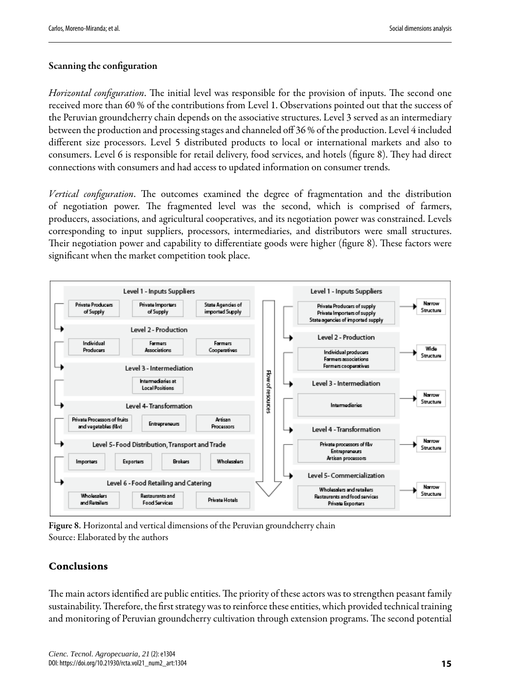#### Scanning the configuration

*Horizontal configuration*. The initial level was responsible for the provision of inputs. The second one received more than 60 % of the contributions from Level 1. Observations pointed out that the success of the Peruvian groundcherry chain depends on the associative structures. Level 3 served as an intermediary between the production and processing stages and channeled off 36 % of the production. Level 4 included different size processors. Level 5 distributed products to local or international markets and also to consumers. Level 6 is responsible for retail delivery, food services, and hotels (figure 8). They had direct connections with consumers and had access to updated information on consumer trends.

*Vertical configuration*. The outcomes examined the degree of fragmentation and the distribution of negotiation power. The fragmented level was the second, which is comprised of farmers, producers, associations, and agricultural cooperatives, and its negotiation power was constrained. Levels corresponding to input suppliers, processors, intermediaries, and distributors were small structures. Their negotiation power and capability to differentiate goods were higher (fi[gure](#page-14-0) 8). These factors were significant when the market competition took place.

<span id="page-14-0"></span>

Figure 8. Horizontal and vertical dimensions of the Peruvian groundcherry chain Source: Elaborated by the authors

### Conclusions

The main actors identified are public entities. The priority of these actors was to strengthen peasant family sustainability. Therefore, the first strategy was to reinforce these entities, which provided technical training and monitoring of Peruvian groundcherry cultivation through extension programs. The second potential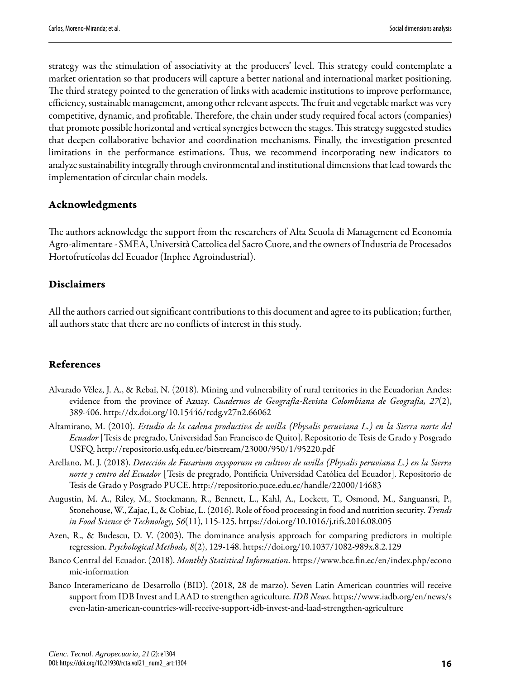<span id="page-15-4"></span>strategy was the stimulation of associativity at the producers' level. This strategy could contemplate a market orientation so that producers will capture a better national and international market positioning. The third strategy pointed to the generation of links with academic institutions to improve performance, efficiency, sustainable management, among other relevant aspects. The fruit and vegetable market was very competitive, dynamic, and profitable. Therefore, the chain under study required focal actors (companies) that promote possible horizontal and vertical synergies between the stages. This strategy suggested studies that deepen collaborative behavior and coordination mechanisms. Finally, the investigation presented limitations in the performance estimations. Thus, we recommend incorporating new indicators to analyze sustainability integrally through environmental and institutional dimensions that lead towards the implementation of circular chain models.

#### Acknowledgments

e authors acknowledge the support from the researchers of Alta Scuola di Management ed Economia Agro-alimentare - SMEA, Università Cattolica del Sacro Cuore, and the owners of Industria de Procesados Hortofrutícolas del Ecuador (Inphec Agroindustrial).

#### Disclaimers

All the authors carried out significant contributions to this document and agree to its publication; further, all authors state that there are no conflicts of interest in this study.

#### References

- <span id="page-15-2"></span>Alvarado Vélez, J. A., & Rebaï, N. (2018). Mining and vulnerability of rural territories in the Ecuadorian Andes: evidence from the province of Azuay. *Cuadernos de Geografía-Revista Colombiana de Geografía, 27*(2), 389-406. http://dx.doi.org/10.15446/rcdg.v27n2.66062
- <span id="page-15-7"></span>Altamirano, M. (2010). *Estudio de la cadena productiva de uvilla (Physalis peruviana L.) en la Sierra norte del Ecuador* [Tesis de pregrado, Universidad San Francisco de Quito]. Repositorio de Tesis de Grado y Posgrado USFQ. http://repositorio.usfq.edu.ec/bitstream/23000/950/1/95220.pdf
- <span id="page-15-6"></span>Arellano, M. J. (2018). *Detección de Fusarium oxysporum en cultivos de uvilla (Physalis peruviana L.) en la Sierra* norte y centro del Ecuador [Tesis de pregrado, Pontificia Universidad Católica del Ecuador]. Repositorio de Tesis de Grado y Posgrado PUCE. http://repositorio.puce.edu.ec/handle/22000/14683
- <span id="page-15-0"></span>Augustin, M. A., Riley, M., Stockmann, R., Bennett, L., Kahl, A., Lockett, T., Osmond, M., Sanguansri, P., Stonehouse, W., Zajac, I., & Cobiac, L. (2016). Role of food processing in food and nutrition security. *Trends in Food Science & Technology, 56*(11), 115-125. https://doi.org/10.1016/j.tifs.2016.08.005
- <span id="page-15-5"></span>Azen, R., & Budescu, D. V. (2003). The dominance analysis approach for comparing predictors in multiple regression. *Psychological Methods, 8*(2), 129-148. https://doi.org/10.1037/1082-989x.8.2.129
- <span id="page-15-3"></span>Banco Central del Ecuador. (2018). *Monthly Statistical Information*. https://www.bce.fin.ec/en/index.php/econo mic-information
- <span id="page-15-1"></span>Banco Interamericano de Desarrollo (BID). (2018, 28 de marzo). Seven Latin American countries will receive support from IDB Investand LAAD to strengthen agriculture. *IDB News*. https://www.iadb.org/en/news/s even-latin-american-countries-will-receive-support-idb-invest-and-laad-strengthen-agriculture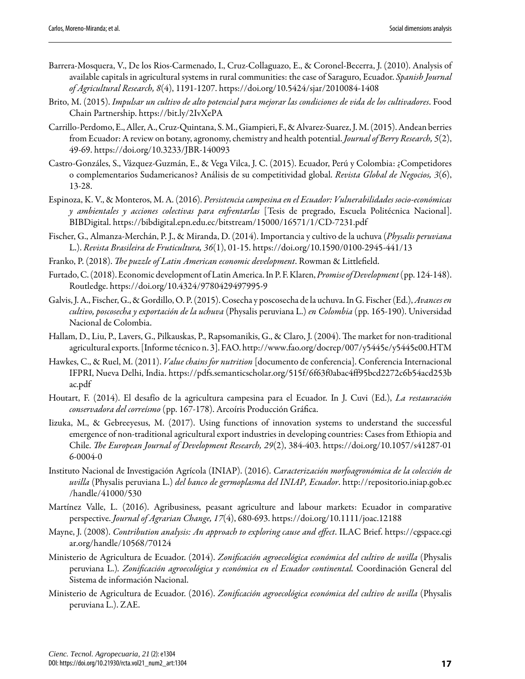- <span id="page-16-3"></span>Barrera-Mosquera, V., De los Rios-Carmenado, I., Cruz-Collaguazo, E., & Coronel-Becerra, J. (2010). Analysis of available capitals in agricultural systems in rural communities: the case of Saraguro, Ecuador. *Spanish Journal of Agricultural Research, 8*(4), 1191-1207. https://doi.org/10.5424/sjar/2010084-1408
- <span id="page-16-11"></span>Brito, M. (2015). *Impulsar un cultivo de alto potencial para mejorar las condiciones de vida de los cultivadores*. Food Chain Partnership. https://bit.ly/2IvXePA
- <span id="page-16-12"></span>Carrillo-Perdomo, E.,Aller,A., Cruz-Quintana, S.M.,Giampieri, F.,&Alvarez-Suarez,J.M.(2015).Andean berries from Ecuador: A review on botany, agronomy, chemistry and health potential. *Journal of Berry Research, 5*(2), 49-69. https://doi.org/10.3233/JBR-140093
- <span id="page-16-15"></span>Castro-Gonzáles, S., Vázquez-Guzmán, E., & Vega Vilca, J. C. (2015). Ecuador, Perú y Colombia: ¿Competidores o complementarios Sudamericanos? Análisis de su competitividad global. *Revista Global de Negocios, 3*(6), 13-28.
- <span id="page-16-16"></span>Espinoza, K. V., & Monteros, M. A. (2016). *Persistencia campesina en el Ecuador: Vulnerabilidades socio-económicas* y ambientales y acciones colectivas para enfrentarlas [Tesis de pregrado, Escuela Politécnica Nacional]. BIBDigital. https://bibdigital.epn.edu.ec/bitstream/15000/16571/1/CD-7231.pdf
- <span id="page-16-14"></span>Fischer, G., Almanza-Merchán, P. J., & Miranda, D. (2014). Importancia y cultivo de la uchuva(*Physalis peruviana* L.). *Revista Brasileira de Fruticultura, 36*(1), 01-15. https://doi.org/10.1590/0100-2945-441/13
- <span id="page-16-0"></span>Franko, P. (2018). *The puzzle of Latin American economic development*. Rowman & Littlefield.
- <span id="page-16-1"></span>Furtado,C.(2018).Economic development ofLatinAmerica.InP. F.Klaren,*Promise of Development*(pp. 124-148). Routledge. https://doi.org/10.4324/9780429497995-9
- <span id="page-16-10"></span>Galvis,J.A., Fischer, G.,&Gordillo,O. P.(2015). Cosecha y poscosecha dela uchuva.In G. Fischer(Ed.),*Avances en cultivo, poscosecha y exportación de la uchuva* (Physalis peruviana L.) *en Colombia* (pp. 165-190). Universidad Nacional de Colombia.
- <span id="page-16-4"></span>Hallam, D., Liu, P., Lavers, G., Pilkauskas, P., Rapsomanikis, G., & Claro, J. (2004). The market for non-traditional agricultural exports. [Informe técnico n. 3]. FAO. http://www.fao.org/docrep/007/y5445e/y5445e00.HTM
- <span id="page-16-6"></span>Hawkes, C., & Ruel, M. (2011). *Value chains for nutrition* [documento de conferencia]. Conferencia Internacional IFPRI, Nueva Delhi, India. https://pdfs.semanticscholar.org/515f/6f63f0abac4ff95bcd2272c6b54acd253b ac.pdf
- <span id="page-16-9"></span>Houtart, F. (2014). El desafío de la agricultura campesina para el Ecuador. In J. Cuvi (Ed.), *La restauración* conservadora del correísmo (pp. 167-178). Arcoíris Producción Gráfica.
- <span id="page-16-17"></span>Iizuka, M., & Gebreeyesus, M. (2017). Using functions of innovation systems to understand the successful emergence of non-traditional agricultural export industries in developing countries: Cases from Ethiopia and Chile. *e European Journal of Development Research, 29*(2), 384-403. https://doi.org/10.1057/s41287-01 6-0004-0
- <span id="page-16-13"></span>Instituto Nacional de Investigación Agrícola (INIAP). (2016). *Caracterización morfoagronómica de la colección de uvilla* (Physalis peruviana L.) *del banco de germoplasma del INIAP, Ecuador*. http://repositorio.iniap.gob.ec /handle/41000/530
- <span id="page-16-2"></span>Martínez Valle, L. (2016). Agribusiness, peasant agriculture and labour markets: Ecuador in comparative perspective. *Journal of Agrarian Change, 17*(4), 680-693. https://doi.org/10.1111/joac.12188
- <span id="page-16-8"></span>Mayne, J. (2008). *Contribution analysis: An approach to exploring cause and effect*. ILAC Brief. https://cgspace.cgi ar.org/handle/10568/70124
- <span id="page-16-5"></span>Ministerio de Agricultura de Ecuador. (2014). *Zonificación agroecológica económica del cultivo de uvilla* (Physalis peruviana L.)*. Zonificación agroecológica y económica en el Ecuador continental.* Coordinación General del Sistema de información Nacional.
- <span id="page-16-7"></span>Ministerio de Agricultura de Ecuador. (2016). *Zonificación agroecológica económica del cultivo de uvilla* (Physalis peruviana L.). ZAE.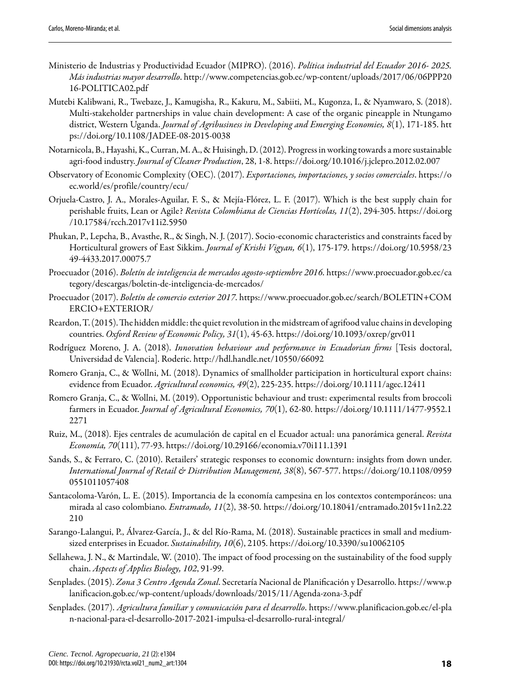- <span id="page-17-11"></span>Ministerio de Industrias y Productividad Ecuador (MIPRO). (2016). *Política industrial del Ecuador 2016- 2025. Más industrias mayor desarrollo*. http://www.competencias.gob.ec/wp-content/uploads/2017/06/06PPP20 16-POLITICA02.pdf
- <span id="page-17-14"></span>Mutebi Kalibwani, R., Twebaze, J., Kamugisha, R., Kakuru, M., Sabiiti, M., Kugonza, I., & Nyamwaro, S. (2018). Multi-stakeholder partnerships in value chain development: A case of the organic pineapple in Ntungamo district, Western Uganda. *Journal of Agribusiness in Developing and Emerging Economies, 8*(1), 171-185. htt ps://doi.org/10.1108/JADEE-08-2015-0038
- <span id="page-17-4"></span>Notarnicola, B., Hayashi,K., Curran, M.A., & Huisingh, D.(2012). Progressinworking towardsa moresustainable agri-food industry. *Journal of Cleaner Production*, 28, 1-8. https://doi.org/10.1016/j.jclepro.2012.02.007
- <span id="page-17-7"></span>Observatory of Economic Complexity (OEC). (2017). *Exportaciones, importaciones, y socios comerciales*. https://o ec.world/es/profile/country/ecu/
- <span id="page-17-16"></span>Orjuela-Castro, J. A., Morales-Aguilar, F. S., & Mejía-Flórez, L. F. (2017). Which is the best supply chain for perishable fruits, Lean or Agile? *Revista Colombiana de Ciencias Hortícolas, 11*(2), 294-305. https://doi.org /10.17584/rcch.2017v11i2.5950
- <span id="page-17-1"></span>Phukan, P., Lepcha, B., Avasthe, R., & Singh, N. J. (2017). Socio-economic characteristics and constraints faced by Horticultural growers of East Sikkim. *Journal of Krishi Vigyan, 6*(1), 175-179. https://doi.org/10.5958/23 49-4433.2017.00075.7
- <span id="page-17-17"></span>Proecuador (2016). *Boletín de inteligencia de mercados agosto-septiembre 2016*. https://www.proecuador.gob.ec/ca tegory/descargas/boletin-de-inteligencia-de-mercados/
- <span id="page-17-18"></span>Proecuador (2017). *Boletín de comercio exterior 2017*. https://www.proecuador.gob.ec/search/BOLETIN+COM ERCIO+EXTERIOR/
- <span id="page-17-0"></span>Reardon, T. (2015). The hidden middle: the quiet revolution in the midstream of agrifood value chains in developing countries. *Oxford Review of Economic Policy, 31*(1), 45-63. https://doi.org/10.1093/oxrep/grv011
- <span id="page-17-15"></span>Rodríguez Moreno, J. A. (2018). *Innovation behaviour and performance in Ecuadorian firms* [Tesis doctoral, Universidad de Valencia]. Roderic. http://hdl.handle.net/10550/66092
- <span id="page-17-8"></span>Romero Granja, C., & Wollni, M. (2018). Dynamics of smallholder participation in horticultural export chains: evidence from Ecuador. *Agricultural economics, 49*(2), 225-235. https://doi.org/10.1111/agec.12411
- <span id="page-17-5"></span>Romero Granja, C., & Wollni, M. (2019). Opportunistic behaviour and trust: experimental results from broccoli farmers in Ecuador. *Journal of Agricultural Economics, 70*(1), 62-80. https://doi.org/10.1111/1477-9552.1 2271
- <span id="page-17-6"></span>Ruiz, M., (2018). Ejes centrales de acumulación de capital en el Ecuador actual: una panorámica general. *Revista Economía, 70*(111), 77-93. https://doi.org/10.29166/economia.v70i111.1391
- <span id="page-17-2"></span>Sands, S., & Ferraro, C. (2010). Retailers' strategic responses to economic downturn: insights from down under. *International Journal of Retail & Distribution Management, 38*(8), 567-577. https://doi.org/10.1108/0959 0551011057408
- <span id="page-17-13"></span>Santacoloma-Varón, L. E. (2015). Importancia de la economía campesina en los contextos contemporáneos: una mirada al caso colombiano. *Entramado, 11*(2), 38-50. https://doi.org/10.18041/entramado.2015v11n2.22 210
- <span id="page-17-10"></span>Sarango-Lalangui, P., Álvarez-García, J., & del Río-Rama, M. (2018). Sustainable practices in small and mediumsized enterprises in Ecuador. *Sustainability, 10*(6), 2105. https://doi.org/10.3390/su10062105
- <span id="page-17-3"></span>Sellahewa, J. N., & Martindale, W. (2010). The impact of food processing on the sustainability of the food supply chain. *Aspects of Applies Biology, 102*, 91-99.
- <span id="page-17-9"></span>Senplades. (2015). *Zona 3 Centro Agenda Zonal*. Secretaría Nacional de Planificación y Desarrollo. https://www.p lanificacion.gob.ec/wp-content/uploads/downloads/2015/11/Agenda-zona-3.pdf
- <span id="page-17-12"></span>Senplades. (2017). *Agricultura familiar y comunicación para el desarrollo*. https://www.planificacion.gob.ec/el-pla n-nacional-para-el-desarrollo-2017-2021-impulsa-el-desarrollo-rural-integral/